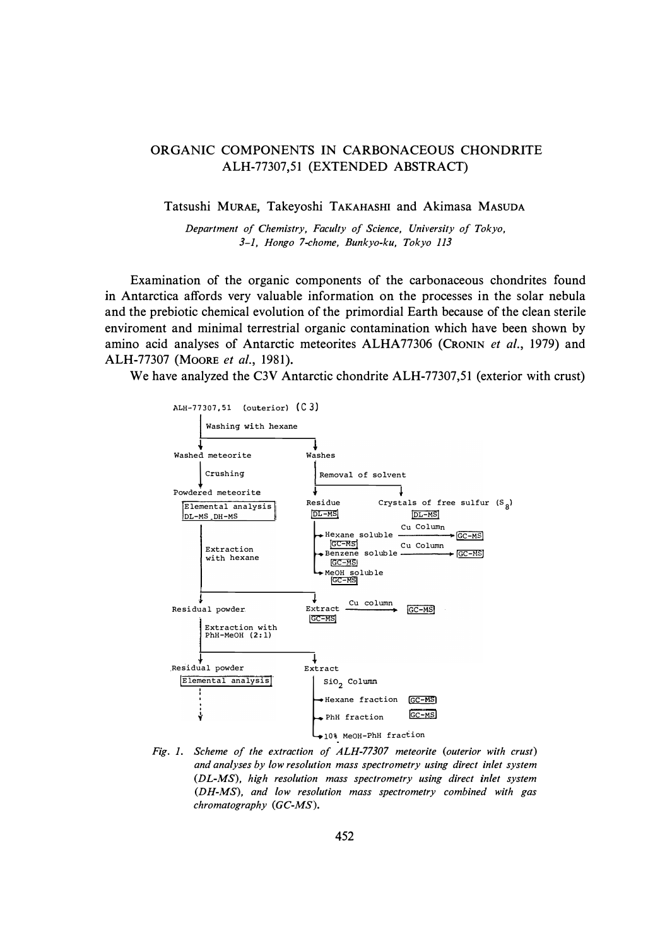## ORGANIC COMPONENTS IN CARBONACEOUS CHONDRITE ALH-77307,51 (EXTENDED ABSTRACT)

## Tatsushi MURAE, Takeyoshi TAKAHASHI and Akimasa MASUDA

*Department of Chemistry, Faculty of Science, University of Tokyo, 3-1, Hongo 7-chome, Bunkyo-ku, Tokyo 113* 

Examination of the organic components of the carbonaceous chondrites found in Antarctica affords very valuable information on the processes in the solar nebula and the prebiotic chemical evolution of the primordial Earth because of the clean sterile enviroment and minimal terrestrial organic contamination which have been shown by amino acid analyses of Antarctic meteorites ALHA77306 (CRONIN *et al.,* 1979) and ALH-77307 (MOORE *et al.,* 1981).

We have analyzed the C3V Antarctic chondrite ALH-77307,51 (exterior with crust)



*Fig. 1. Scheme of the extraction of ALH-77307 meteorite (outerior with crust) and analyses by low resolution mass spectrometry using direct inlet system (DL-MS), high resolution mass spectrometry using direct inlet system (DH-MS), and low resolution mass spectrometry combined with gas chromatography* (GC-MS).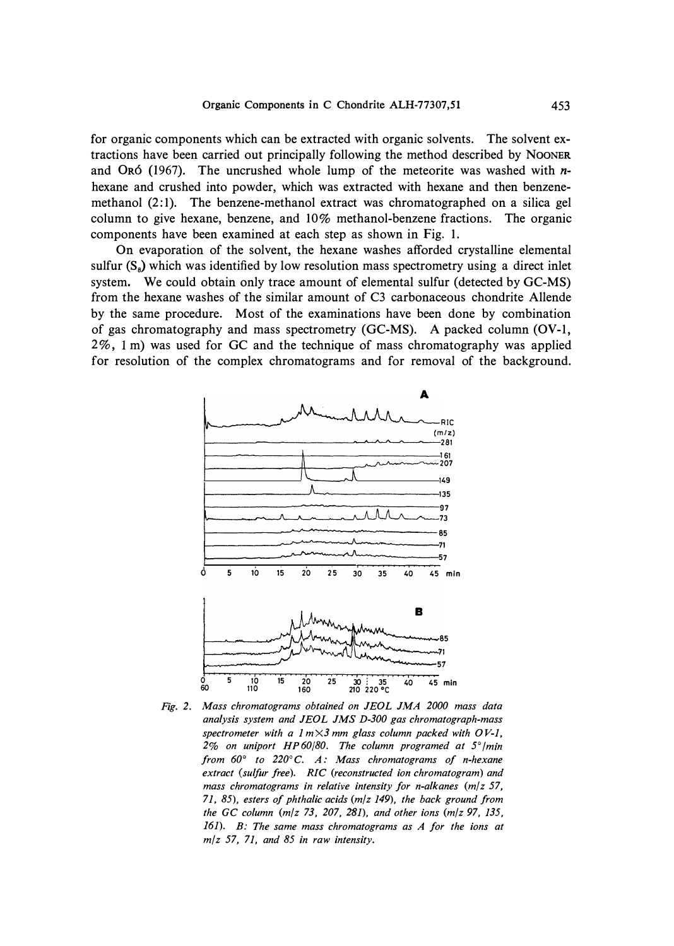for organic components which can be extracted with organic solvents. The solvent extractions have been carried out principally following the method described by **NOONER**  and 0R6 (1967). The uncrushed whole lump of the meteorite was washed with *n*hexane and crushed into powder, which was extracted with hexane and then benzenemethanol  $(2:1)$ . The benzene-methanol extract was chromatographed on a silica gel column to give hexane, benzene, and 10% methanol-benzene fractions. The organic components have been examined at each step as shown in Fig. 1.

On evaporation of the solvent, the hexane washes afforded crystalline elemental sulfur  $(S_8)$  which was identified by low resolution mass spectrometry using a direct inlet system. We could obtain only trace amount of elemental sulfur (detected by GC-MS) from the hexane washes of the similar amount of C3 carbonaceous chondrite Allende by the same procedure. Most of the examinations have been done by combination of gas chromatography and mass spectrometry (GC-MS). A packed column (OV-1, 2%, Im) was used for GC and the technique of mass chromatography was applied for resolution of the complex chromatograms and for removal of the background.



*Fig. 2. Mass chromatograms obtained on JEOL JMA 2000 mass data analysis system and JEOL JMS D-300 gas chromatograph-mass spectrometer with a 1 mX3 mm glass column packed with OV-1, 2% on uniport HP60/80. The column programed at* 5 ° */min from 60° to 220 °C. A: Mass chromatograms of n-hexane extract (sulfur free). RIC (reconstructed ion chromatogram) and*  mass chromatograms in relative intensity for n-alkanes (m/z 57, *71, 85), esters of phthalic acids (m/z 149), the back ground from the GC column (m/z 73, 207, 281), and other ions (m/z 97, 135, 161). B: The same mass chromatograms as A for the ions at m/z* 57, *71, and 85 in raw intensity.*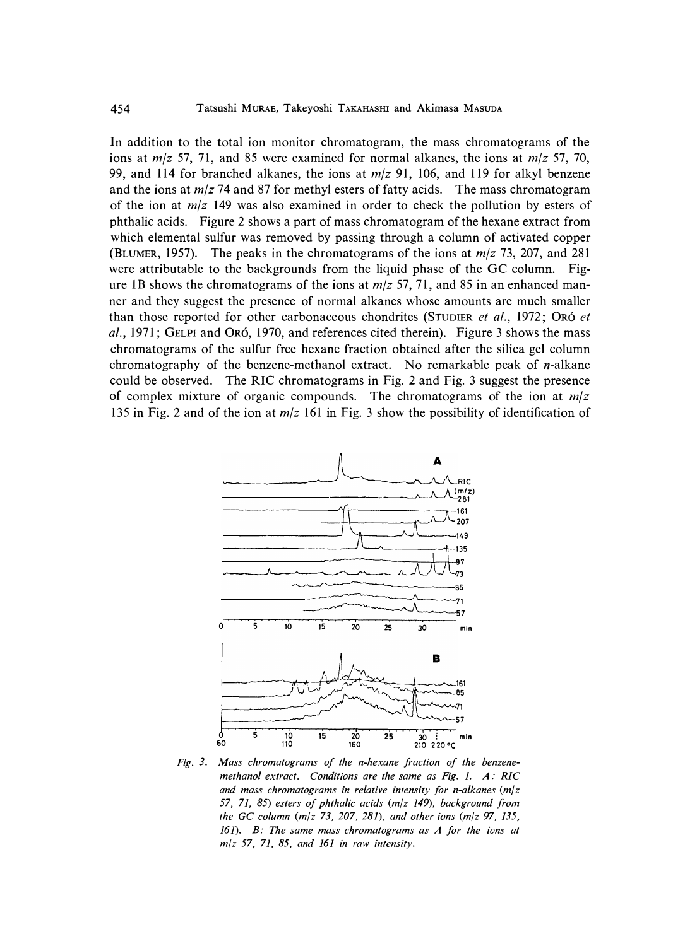In addition to the total ion monitor chromatogram, the mass chromatograms of the ions at *m/z* 57, 71, and 85 were examined for normal alkanes, the ions at *m/z* 57, 70, 99, and 114 for branched alkanes, the ions at *m/z* 91, 106, and 119 for alkyl benzene and the ions at *m/z* 74 and 87 for methyl esters of fatty acids. The mass chromatogram of the ion at *m/z* 149 was also examined in order to check the pollution by esters of phthalic acids. Figure 2 shows a part of mass chromatogram of the hexane extract from which elemental sulfur was removed by passing through a column of activated copper (BLUMER, 1957). The peaks in the chromatograms of the ions at *m/z* 73, 207, and 281 were attributable to the backgrounds from the liquid phase of the GC column. Figure IB shows the chromatograms of the ions at *m/z* 57, 71, and 85 in an enhanced manner and they suggest the presence of normal alkanes whose amounts are much smaller than those reported for other carbonaceous chondrites (STUDIER *et al.,* 1972; 0R6 *et al.,* 1971; GELPI and 0R6, 1970, and references cited therein). Figure 3 shows the mass chromatograms of the sulfur free hexane fraction obtained after the silica gel column chromatography of the benzene-methanol extract. No remarkable peak of n-alkane could be observed. The RIC chromatograms in Fig. 2 and Fig. 3 suggest the presence of complex mixture of organic compounds. The chromatograms of the ion at  $m/z$ 135 in Fig. 2 and of the ion at *m/z* 161 in Fig. 3 show the possibility of identification of



*Fig. 3. Mass chromatograms of the n-hexane fraction of the benzenemethanol extract. Conditions are the same as Fig. 1. A: RIC and mass chromatograms in relative intensity for n-alkanes (m/z 57, 71, 85) esters of phthalic acids (m/z 149), background from the GC column (m/z 73, 207, 281), and other ions (m/z 97, 135, 161). B: The same mass chromatograms as A for the ions at m/z 57, 71, 85, and 161 in raw intensity.*